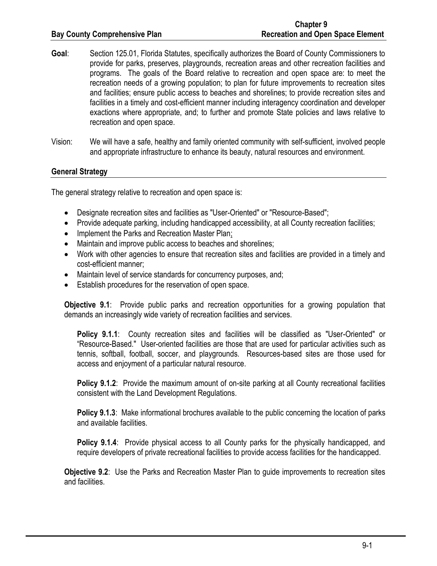- **Goal**: Section 125.01, Florida Statutes, specifically authorizes the Board of County Commissioners to provide for parks, preserves, playgrounds, recreation areas and other recreation facilities and programs. The goals of the Board relative to recreation and open space are: to meet the recreation needs of a growing population; to plan for future improvements to recreation sites and facilities; ensure public access to beaches and shorelines; to provide recreation sites and facilities in a timely and cost-efficient manner including interagency coordination and developer exactions where appropriate, and; to further and promote State policies and laws relative to recreation and open space.
- Vision: We will have a safe, healthy and family oriented community with self-sufficient, involved people and appropriate infrastructure to enhance its beauty, natural resources and environment.

## **General Strategy**

The general strategy relative to recreation and open space is:

- Designate recreation sites and facilities as "User-Oriented" or "Resource-Based";
- Provide adequate parking, including handicapped accessibility, at all County recreation facilities;
- Implement the Parks and Recreation Master Plan;
- Maintain and improve public access to beaches and shorelines;
- Work with other agencies to ensure that recreation sites and facilities are provided in a timely and cost-efficient manner;
- Maintain level of service standards for concurrency purposes, and;
- Establish procedures for the reservation of open space.

**Objective 9.1**: Provide public parks and recreation opportunities for a growing population that demands an increasingly wide variety of recreation facilities and services.

**Policy 9.1.1**: County recreation sites and facilities will be classified as "User-Oriented" or "Resource-Based." User-oriented facilities are those that are used for particular activities such as tennis, softball, football, soccer, and playgrounds. Resources-based sites are those used for access and enjoyment of a particular natural resource.

**Policy 9.1.2:** Provide the maximum amount of on-site parking at all County recreational facilities consistent with the Land Development Regulations.

**Policy 9.1.3**: Make informational brochures available to the public concerning the location of parks and available facilities.

**Policy 9.1.4**: Provide physical access to all County parks for the physically handicapped, and require developers of private recreational facilities to provide access facilities for the handicapped.

**Objective 9.2**: Use the Parks and Recreation Master Plan to guide improvements to recreation sites and facilities.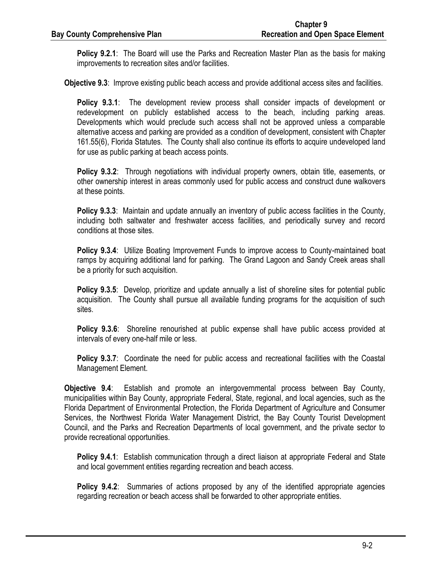**Policy 9.2.1**: The Board will use the Parks and Recreation Master Plan as the basis for making improvements to recreation sites and/or facilities.

**Objective 9.3**: Improve existing public beach access and provide additional access sites and facilities.

**Policy 9.3.1**: The development review process shall consider impacts of development or redevelopment on publicly established access to the beach, including parking areas. Developments which would preclude such access shall not be approved unless a comparable alternative access and parking are provided as a condition of development, consistent with Chapter 161.55(6), Florida Statutes. The County shall also continue its efforts to acquire undeveloped land for use as public parking at beach access points.

**Policy 9.3.2**: Through negotiations with individual property owners, obtain title, easements, or other ownership interest in areas commonly used for public access and construct dune walkovers at these points.

**Policy 9.3.3**: Maintain and update annually an inventory of public access facilities in the County, including both saltwater and freshwater access facilities, and periodically survey and record conditions at those sites.

**Policy 9.3.4**: Utilize Boating Improvement Funds to improve access to County-maintained boat ramps by acquiring additional land for parking. The Grand Lagoon and Sandy Creek areas shall be a priority for such acquisition.

**Policy 9.3.5**: Develop, prioritize and update annually a list of shoreline sites for potential public acquisition. The County shall pursue all available funding programs for the acquisition of such sites.

**Policy 9.3.6**: Shoreline renourished at public expense shall have public access provided at intervals of every one-half mile or less.

**Policy 9.3.7**: Coordinate the need for public access and recreational facilities with the Coastal Management Element.

**Objective 9.4**: Establish and promote an intergovernmental process between Bay County, municipalities within Bay County, appropriate Federal, State, regional, and local agencies, such as the Florida Department of Environmental Protection, the Florida Department of Agriculture and Consumer Services, the Northwest Florida Water Management District, the Bay County Tourist Development Council, and the Parks and Recreation Departments of local government, and the private sector to provide recreational opportunities.

**Policy 9.4.1**: Establish communication through a direct liaison at appropriate Federal and State and local government entities regarding recreation and beach access.

**Policy 9.4.2**: Summaries of actions proposed by any of the identified appropriate agencies regarding recreation or beach access shall be forwarded to other appropriate entities.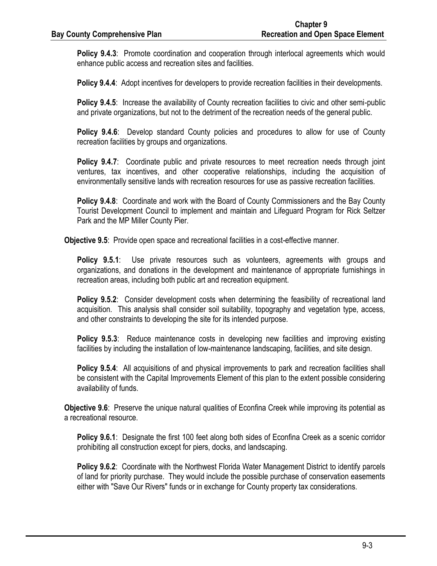**Policy 9.4.3**: Promote coordination and cooperation through interlocal agreements which would enhance public access and recreation sites and facilities.

**Policy 9.4.4**: Adopt incentives for developers to provide recreation facilities in their developments.

**Policy 9.4.5**: Increase the availability of County recreation facilities to civic and other semi-public and private organizations, but not to the detriment of the recreation needs of the general public.

**Policy 9.4.6**: Develop standard County policies and procedures to allow for use of County recreation facilities by groups and organizations.

**Policy 9.4.7:** Coordinate public and private resources to meet recreation needs through joint ventures, tax incentives, and other cooperative relationships, including the acquisition of environmentally sensitive lands with recreation resources for use as passive recreation facilities.

**Policy 9.4.8**: Coordinate and work with the Board of County Commissioners and the Bay County Tourist Development Council to implement and maintain and Lifeguard Program for Rick Seltzer Park and the MP Miller County Pier.

**Objective 9.5**: Provide open space and recreational facilities in a cost-effective manner.

**Policy 9.5.1**: Use private resources such as volunteers, agreements with groups and organizations, and donations in the development and maintenance of appropriate furnishings in recreation areas, including both public art and recreation equipment.

**Policy 9.5.2**: Consider development costs when determining the feasibility of recreational land acquisition. This analysis shall consider soil suitability, topography and vegetation type, access, and other constraints to developing the site for its intended purpose.

**Policy 9.5.3**: Reduce maintenance costs in developing new facilities and improving existing facilities by including the installation of low-maintenance landscaping, facilities, and site design.

**Policy 9.5.4**: All acquisitions of and physical improvements to park and recreation facilities shall be consistent with the Capital Improvements Element of this plan to the extent possible considering availability of funds.

**Objective 9.6**: Preserve the unique natural qualities of Econfina Creek while improving its potential as a recreational resource.

**Policy 9.6.1**: Designate the first 100 feet along both sides of Econfina Creek as a scenic corridor prohibiting all construction except for piers, docks, and landscaping.

**Policy 9.6.2**: Coordinate with the Northwest Florida Water Management District to identify parcels of land for priority purchase. They would include the possible purchase of conservation easements either with "Save Our Rivers" funds or in exchange for County property tax considerations.